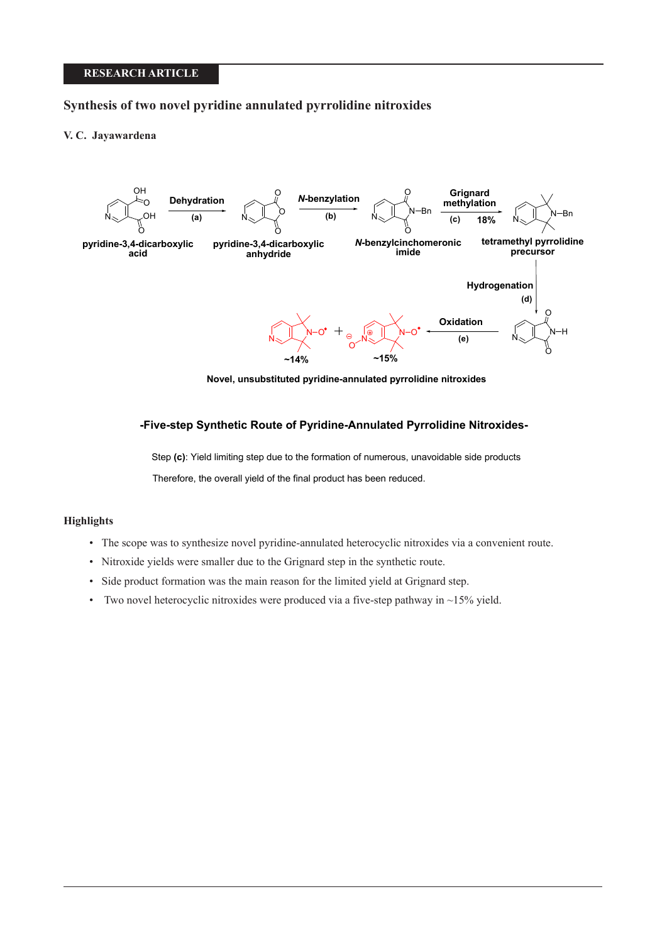# **RESEARCH ARTICLE**

# **Synthesis of two novel pyridine annulated pyrrolidine nitroxides**

## **V. C. Jayawardena**



**Novel, unsubstituted pyridine-annulated pyrrolidine nitroxides**

# **-Five-step Synthetic Route of Pyridine-Annulated Pyrrolidine Nitroxides-**

Step **(c)**: Yield limiting step due to the formation of numerous, unavoidable side products Therefore, the overall yield of the final product has been reduced.

# **Highlights**

- The scope was to synthesize novel pyridine-annulated heterocyclic nitroxides via a convenient route.
- Nitroxide yields were smaller due to the Grignard step in the synthetic route.
- Side product formation was the main reason for the limited yield at Grignard step.
- Two novel heterocyclic nitroxides were produced via a five-step pathway in  $\sim$ 15% yield.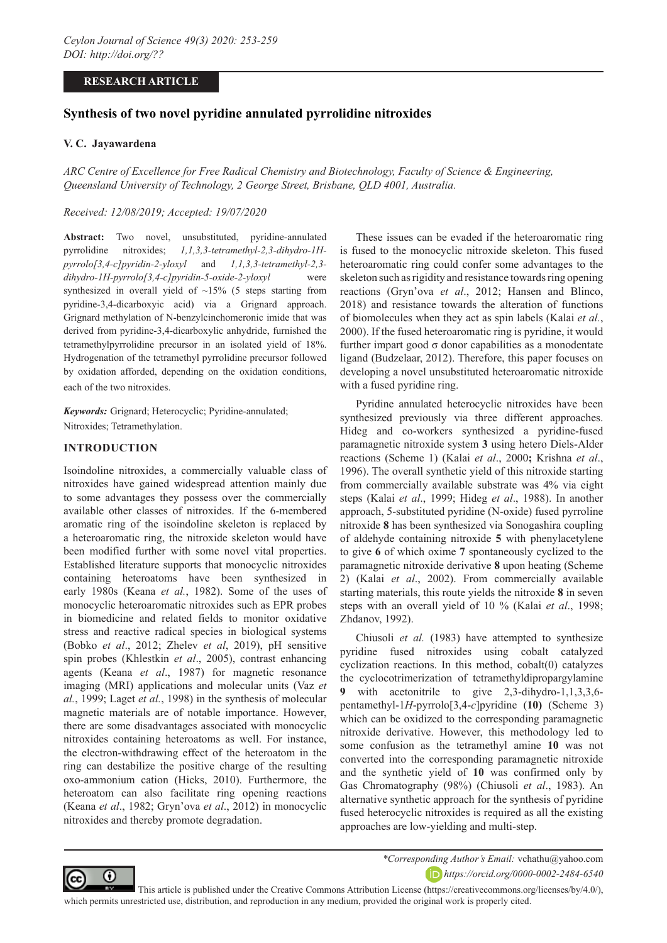# **RESEARCH ARTICLE**

# **Synthesis of two novel pyridine annulated pyrrolidine nitroxides**

### **V. C. Jayawardena**

*ARC Centre of Excellence for Free Radical Chemistry and Biotechnology, Faculty of Science & Engineering, Queensland University of Technology, 2 George Street, Brisbane, QLD 4001, Australia.*

### *Received: 12/08/2019; Accepted: 19/07/2020*

**Abstract:** Two novel, unsubstituted, pyridine-annulated pyrrolidine nitroxides; *1,1,3,3-tetramethyl-2,3-dihydro-1Hpyrrolo[3,4-c]pyridin-2-yloxyl* and *1,1,3,3-tetramethyl-2,3 dihydro-1H-pyrrolo[3,4-c]pyridin-5-oxide-2-yloxyl* were synthesized in overall yield of  $\sim$ 15% (5 steps starting from pyridine-3,4-dicarboxyic acid) via a Grignard approach. Grignard methylation of N-benzylcinchomeronic imide that was derived from pyridine-3,4-dicarboxylic anhydride, furnished the tetramethylpyrrolidine precursor in an isolated yield of 18%. Hydrogenation of the tetramethyl pyrrolidine precursor followed by oxidation afforded, depending on the oxidation conditions, each of the two nitroxides.

*Keywords:* Grignard; Heterocyclic; Pyridine-annulated; Nitroxides; Tetramethylation.

# **INTRODUCTION**

Isoindoline nitroxides, a commercially valuable class of nitroxides have gained widespread attention mainly due to some advantages they possess over the commercially available other classes of nitroxides. If the 6-membered aromatic ring of the isoindoline skeleton is replaced by a heteroaromatic ring, the nitroxide skeleton would have been modified further with some novel vital properties. Established literature supports that monocyclic nitroxides containing heteroatoms have been synthesized in early 1980s (Keana *et al.*, 1982). Some of the uses of monocyclic heteroaromatic nitroxides such as EPR probes in biomedicine and related fields to monitor oxidative stress and reactive radical species in biological systems (Bobko *et al*., 2012; Zhelev *et al*, 2019), pH sensitive spin probes (Khlestkin *et al*., 2005), contrast enhancing agents (Keana *et al*., 1987) for magnetic resonance imaging (MRI) applications and molecular units (Vaz *et al.*, 1999; Laget *et al.*, 1998) in the synthesis of molecular magnetic materials are of notable importance. However, there are some disadvantages associated with monocyclic nitroxides containing heteroatoms as well. For instance, the electron-withdrawing effect of the heteroatom in the ring can destabilize the positive charge of the resulting oxo-ammonium cation (Hicks, 2010). Furthermore, the heteroatom can also facilitate ring opening reactions (Keana *et al*., 1982; Gryn'ova *et al*., 2012) in monocyclic nitroxides and thereby promote degradation.

These issues can be evaded if the heteroaromatic ring is fused to the monocyclic nitroxide skeleton. This fused heteroaromatic ring could confer some advantages to the skeleton such as rigidity and resistance towards ring opening reactions (Gryn'ova *et al*., 2012; Hansen and Blinco, 2018) and resistance towards the alteration of functions of biomolecules when they act as spin labels (Kalai *et al.*, 2000). If the fused heteroaromatic ring is pyridine, it would further impart good σ donor capabilities as a monodentate ligand (Budzelaar, 2012). Therefore, this paper focuses on developing a novel unsubstituted heteroaromatic nitroxide with a fused pyridine ring.

Pyridine annulated heterocyclic nitroxides have been synthesized previously via three different approaches. Hideg and co-workers synthesized a pyridine-fused paramagnetic nitroxide system **3** using hetero Diels-Alder reactions (Scheme 1) (Kalai *et al*., 2000**;** Krishna *et al*., 1996). The overall synthetic yield of this nitroxide starting from commercially available substrate was 4% via eight steps (Kalai *et al*., 1999; Hideg *et al*., 1988). In another approach, 5-substituted pyridine (N-oxide) fused pyrroline nitroxide **8** has been synthesized via Sonogashira coupling of aldehyde containing nitroxide **5** with phenylacetylene to give **6** of which oxime **7** spontaneously cyclized to the paramagnetic nitroxide derivative **8** upon heating (Scheme 2) (Kalai *et al*., 2002). From commercially available starting materials, this route yields the nitroxide **8** in seven steps with an overall yield of 10 % (Kalai *et al*., 1998; Zhdanov, 1992).

Chiusoli *et al.* (1983) have attempted to synthesize pyridine fused nitroxides using cobalt catalyzed cyclization reactions. In this method, cobalt(0) catalyzes the cyclocotrimerization of tetramethyldipropargylamine **9** with acetonitrile to give 2,3-dihydro-1,1,3,3,6 pentamethyl-1*H*-pyrrolo[3,4-*c*]pyridine (**10)** (Scheme 3) which can be oxidized to the corresponding paramagnetic nitroxide derivative. However, this methodology led to some confusion as the tetramethyl amine **10** was not converted into the corresponding paramagnetic nitroxide and the synthetic yield of **10** was confirmed only by Gas Chromatography (98%) (Chiusoli *et al*., 1983). An alternative synthetic approach for the synthesis of pyridine fused heterocyclic nitroxides is required as all the existing approaches are low-yielding and multi-step.



*\*Corresponding Author's Email:* vchathu@yahoo.com *https://orcid.org/0000-0002-2484-6540*

 This article is published under the Creative Commons Attribution License (https://creativecommons.org/licenses/by/4.0/), which permits unrestricted use, distribution, and reproduction in any medium, provided the original work is properly cited.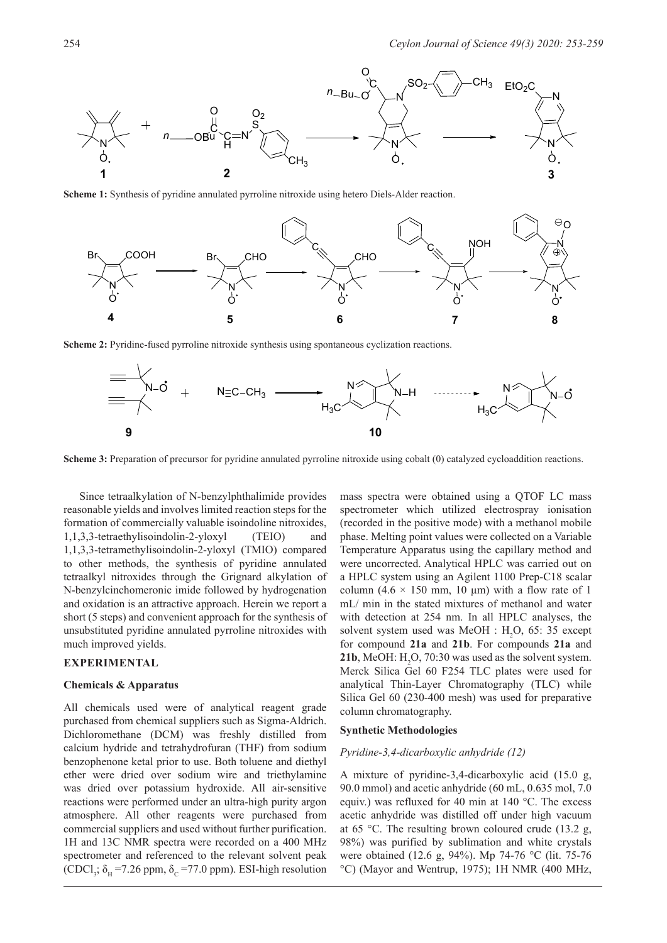

**Scheme 1:** Synthesis of pyridine annulated pyrroline nitroxide using hetero Diels-Alder reaction.



**Scheme 2:** Pyridine-fused pyrroline nitroxide synthesis using spontaneous cyclization reactions.



**Scheme 3:** Preparation of precursor for pyridine annulated pyrroline nitroxide using cobalt (0) catalyzed cycloaddition reactions.

Since tetraalkylation of N-benzylphthalimide provides reasonable yields and involves limited reaction steps for the formation of commercially valuable isoindoline nitroxides, 1,1,3,3-tetraethylisoindolin-2-yloxyl (TEIO) and 1,1,3,3-tetramethylisoindolin-2-yloxyl (TMIO) compared to other methods, the synthesis of pyridine annulated tetraalkyl nitroxides through the Grignard alkylation of N-benzylcinchomeronic imide followed by hydrogenation and oxidation is an attractive approach. Herein we report a short (5 steps) and convenient approach for the synthesis of unsubstituted pyridine annulated pyrroline nitroxides with much improved yields.

### **EXPERIMENTAL**

#### **Chemicals & Apparatus**

All chemicals used were of analytical reagent grade purchased from chemical suppliers such as Sigma-Aldrich. Dichloromethane (DCM) was freshly distilled from calcium hydride and tetrahydrofuran (THF) from sodium benzophenone ketal prior to use. Both toluene and diethyl ether were dried over sodium wire and triethylamine was dried over potassium hydroxide. All air-sensitive reactions were performed under an ultra-high purity argon atmosphere. All other reagents were purchased from commercial suppliers and used without further purification. 1H and 13C NMR spectra were recorded on a 400 MHz spectrometer and referenced to the relevant solvent peak  $(CDCl_3$ ;  $\delta_H$  =7.26 ppm,  $\delta_C$  =77.0 ppm). ESI-high resolution mass spectra were obtained using a QTOF LC mass spectrometer which utilized electrospray ionisation (recorded in the positive mode) with a methanol mobile phase. Melting point values were collected on a Variable Temperature Apparatus using the capillary method and were uncorrected. Analytical HPLC was carried out on a HPLC system using an Agilent 1100 Prep-C18 scalar column (4.6  $\times$  150 mm, 10 µm) with a flow rate of 1 mL/ min in the stated mixtures of methanol and water with detection at 254 nm. In all HPLC analyses, the solvent system used was MeOH :  $H_2O$ , 65: 35 except for compound **21a** and **21b**. For compounds **21a** and **21b**, MeOH:  $H_2O$ , 70:30 was used as the solvent system. Merck Silica Gel 60 F254 TLC plates were used for analytical Thin-Layer Chromatography (TLC) while Silica Gel 60 (230-400 mesh) was used for preparative column chromatography.

#### **Synthetic Methodologies**

#### *Pyridine-3,4-dicarboxylic anhydride (12)*

A mixture of pyridine-3,4-dicarboxylic acid (15.0 g, 90.0 mmol) and acetic anhydride (60 mL, 0.635 mol, 7.0 equiv.) was refluxed for 40 min at 140 °C. The excess acetic anhydride was distilled off under high vacuum at 65 °C. The resulting brown coloured crude (13.2 g, 98%) was purified by sublimation and white crystals were obtained (12.6 g, 94%). Mp 74-76 °C (lit. 75-76 °C) (Mayor and Wentrup, 1975); 1H NMR (400 MHz,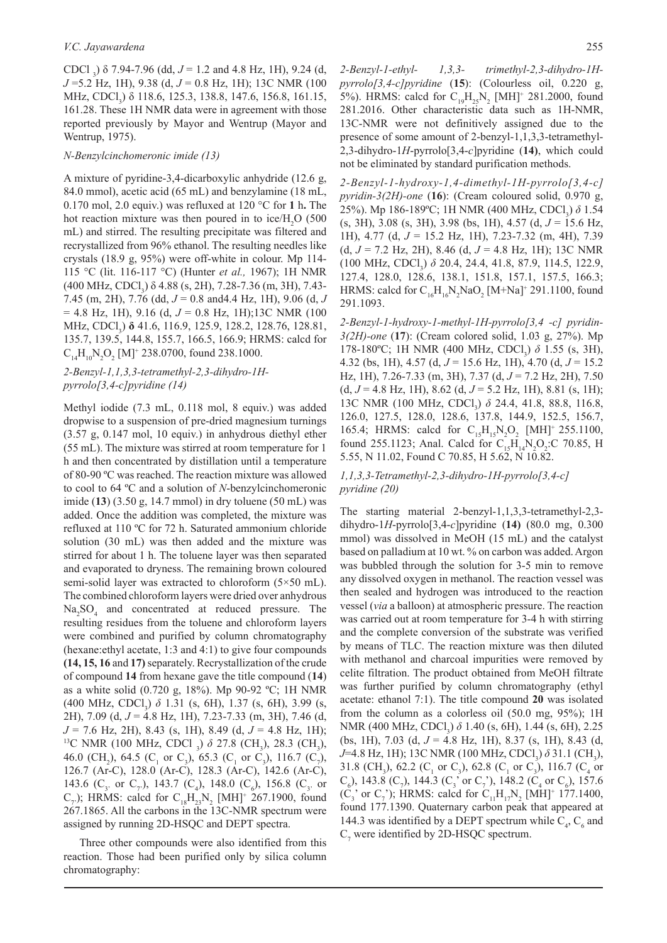CDCl <sub>3</sub>)  $\delta$  7.94-7.96 (dd,  $J = 1.2$  and 4.8 Hz, 1H), 9.24 (d, *J* =5.2 Hz, 1H), 9.38 (d, *J* = 0.8 Hz, 1H); 13C NMR (100 MHz, CDCl<sub>3</sub>) δ 118.6, 125.3, 138.8, 147.6, 156.8, 161.15, 161.28. These 1H NMR data were in agreement with those reported previously by Mayor and Wentrup (Mayor and Wentrup, 1975).

#### *N-Benzylcinchomeronic imide (13)*

A mixture of pyridine-3,4-dicarboxylic anhydride (12.6 g, 84.0 mmol), acetic acid (65 mL) and benzylamine (18 mL, 0.170 mol, 2.0 equiv.) was refluxed at 120 °C for **1** h**.** The hot reaction mixture was then poured in to ice/ $H_2O$  (500 mL) and stirred. The resulting precipitate was filtered and recrystallized from 96% ethanol. The resulting needles like crystals (18.9 g, 95%) were off-white in colour. Mp 114- 115 °C (lit. 116-117 °C) (Hunter *et al.,* 1967); 1H NMR (400 MHz, CDCl<sub>3</sub>) δ 4.88 (s, 2H), 7.28-7.36 (m, 3H), 7.43-7.45 (m, 2H), 7.76 (dd, *J* = 0.8 and4.4 Hz, 1H), 9.06 (d, *J*  = 4.8 Hz, 1H), 9.16 (d, *J* = 0.8 Hz, 1H);13C NMR (100 MHz, CDCl<sub>3</sub>) **δ** 41.6, 116.9, 125.9, 128.2, 128.76, 128.81, 135.7, 139.5, 144.8, 155.7, 166.5, 166.9; HRMS: calcd for  $\rm C^{}_{14}H^{}_{10}N^{}_2O^{}_2$  [M]<sup>+</sup> 238.0700, found 238.1000.

## *2-Benzyl-1,1,3,3-tetramethyl-2,3-dihydro-1Hpyrrolo[3,4-c]pyridine (14)*

Methyl iodide (7.3 mL, 0.118 mol, 8 equiv.) was added dropwise to a suspension of pre-dried magnesium turnings (3.57 g, 0.147 mol, 10 equiv.) in anhydrous diethyl ether (55 mL). The mixture was stirred at room temperature for 1 h and then concentrated by distillation until a temperature of 80-90 ºC was reached. The reaction mixture was allowed to cool to 64 ºC and a solution of *N*-benzylcinchomeronic imide (**13**) (3.50 g, 14.7 mmol) in dry toluene (50 mL) was added. Once the addition was completed, the mixture was refluxed at 110 ºC for 72 h. Saturated ammonium chloride solution (30 mL) was then added and the mixture was stirred for about 1 h. The toluene layer was then separated and evaporated to dryness. The remaining brown coloured semi-solid layer was extracted to chloroform (5×50 mL). The combined chloroform layers were dried over anhydrous Na<sub>2</sub>SO<sub>4</sub> and concentrated at reduced pressure. The resulting residues from the toluene and chloroform layers were combined and purified by column chromatography (hexane:ethyl acetate, 1:3 and 4:1) to give four compounds **(14, 15, 16** and **17)** separately. Recrystallization of the crude of compound **14** from hexane gave the title compound (**14**) as a white solid (0.720 g, 18%). Mp 90-92 ºC; 1H NMR (400 MHz, CDCl<sub>3</sub>)  $\delta$  1.31 (s, 6H), 1.37 (s, 6H), 3.99 (s, 2H), 7.09 (d, *J* = 4.8 Hz, 1H), 7.23-7.33 (m, 3H), 7.46 (d, *J* = 7.6 Hz, 2H), 8.43 (s, 1H), 8.49 (d, *J* = 4.8 Hz, 1H); <sup>13</sup>C NMR (100 MHz, CDCl<sub>3</sub>) δ 27.8 (CH<sub>3</sub>), 28.3 (CH<sub>3</sub>), 46.0 (CH<sub>2</sub>), 64.5 (C<sub>1</sub> or C<sub>3</sub>), 65.3 (C<sub>1</sub> or C<sub>3</sub>), 116.7 (C<sub>7</sub>), 126.7 (Ar-C), 128.0 (Ar-C), 128.3 (Ar-C), 142.6 (Ar-C), 143.6 (C<sub>3</sub>, or C<sub>7</sub>), 143.7 (C<sub>4</sub>), 148.0 (C<sub>6</sub>), 156.8 (C<sub>3</sub>, or  $(C_{7})$ ; HRMS: calcd for  $C_{18}H_{23}N_{2}$  [MH]<sup>+</sup> 267.1900, found 267.1865. All the carbons in the 13C-NMR spectrum were assigned by running 2D-HSQC and DEPT spectra.

Three other compounds were also identified from this reaction. Those had been purified only by silica column chromatography:

*2-Benzyl-1-ethyl- 1,3,3- trimethyl-2,3-dihydro-1Hpyrrolo[3,4-c]pyridine* (**15**): (Colourless oil, 0.220 g, 5%). HRMS: calcd for  $C_{19}H_{25}N_2$  [MH]<sup>+</sup> 281.2000, found 281.2016. Other characteristic data such as 1H-NMR, 13C-NMR were not definitively assigned due to the presence of some amount of 2-benzyl-1,1,3,3-tetramethyl-2,3-dihydro-1*H*-pyrrolo[3,4-*c*]pyridine (**14)**, which could not be eliminated by standard purification methods.

*2-Benzyl-1-hydroxy-1,4-dimethyl-1H-pyrrolo[3,4-c] pyridin-3(2H)-one* (**16**): (Cream coloured solid, 0.970 g, 25%). Mp 186-189°C; 1H NMR (400 MHz, CDCl<sub>3</sub>) δ 1.54 (s, 3H), 3.08 (s, 3H), 3.98 (bs, 1H), 4.57 (d, *J* = 15.6 Hz, 1H), 4.77 (d, *J* = 15.2 Hz, 1H), 7.23-7.32 (m, 4H), 7.39 (d, *J* = 7.2 Hz, 2H), 8.46 (d, *J* = 4.8 Hz, 1H); 13C NMR (100 MHz, CDCl<sub>3</sub>) δ 20.4, 24.4, 41.8, 87.9, 114.5, 122.9, 127.4, 128.0, 128.6, 138.1, 151.8, 157.1, 157.5, 166.3; HRMS: calcd for  $C_{16}H_{16}N_2NaO_2$  [M+Na]<sup>+</sup> 291.1100, found 291.1093.

*2-Benzyl-1-hydroxy-1-methyl-1H-pyrrolo[3,4 -c] pyridin-3(2H)-one* (**17**): (Cream colored solid, 1.03 g, 27%). Mp 178-180°C; 1H NMR (400 MHz, CDCl<sub>3</sub>) δ 1.55 (s, 3H), 4.32 (bs, 1H), 4.57 (d,  $J = 15.6$  Hz, 1H), 4.70 (d,  $J = 15.2$ Hz, 1H), 7.26-7.33 (m, 3H), 7.37 (d, *J* = 7.2 Hz, 2H), 7.50  $(d, J = 4.8 \text{ Hz}, 1\text{H})$ , 8.62  $(d, J = 5.2 \text{ Hz}, 1\text{H})$ , 8.81  $(s, 1\text{H})$ ; 13C NMR (100 MHz, CDCl<sub>3</sub>) δ 24.4, 41.8, 88.8, 116.8, 126.0, 127.5, 128.0, 128.6, 137.8, 144.9, 152.5, 156.7, 165.4; HRMS: calcd for  $C_{15}H_{15}N_2O_2$  [MH]<sup>+</sup> 255.1100, found 255.1123; Anal. Calcd for  $C_{15}H_{14}N_2O_2$ :C 70.85, H 5.55, N 11.02, Found C 70.85, H 5.62, N 10.82.

### *1,1,3,3-Tetramethyl-2,3-dihydro-1H-pyrrolo[3,4-c] pyridine (20)*

The starting material 2-benzyl-1,1,3,3-tetramethyl-2,3 dihydro-1*H*-pyrrolo[3,4-*c*]pyridine (**14)** (80.0 mg, 0.300 mmol) was dissolved in MeOH (15 mL) and the catalyst based on palladium at 10 wt. % on carbon was added. Argon was bubbled through the solution for 3-5 min to remove any dissolved oxygen in methanol. The reaction vessel was then sealed and hydrogen was introduced to the reaction vessel (*via* a balloon) at atmospheric pressure. The reaction was carried out at room temperature for 3-4 h with stirring and the complete conversion of the substrate was verified by means of TLC. The reaction mixture was then diluted with methanol and charcoal impurities were removed by celite filtration. The product obtained from MeOH filtrate was further purified by column chromatography (ethyl acetate: ethanol 7:1). The title compound **20** was isolated from the column as a colorless oil (50.0 mg, 95%); 1H NMR (400 MHz, CDCl<sub>3</sub>) δ 1.40 (s, 6H), 1.44 (s, 6H), 2.25 (bs, 1H), 7.03 (d, *J* = 4.8 Hz, 1H), 8.37 (s, 1H), 8.43 (d, *J*=4.8 Hz, 1H); 13C NMR (100 MHz, CDCl<sub>3</sub>) δ 31.1 (CH<sub>3</sub>), 31.8 (CH<sub>3</sub>), 62.2 (C<sub>1</sub> or C<sub>3</sub>), 62.8 (C<sub>1</sub> or C<sub>3</sub>), 116.7 (C<sub>4</sub> or  $(C_6)$ , 143.8 ( $C_7$ ), 144.3 ( $C_3$ ' or  $C_7$ '), 148.2 ( $C_4$  or  $C_6$ ), 157.6  $(C_3$ ' or  $C_7$ '); HRMS: calcd for  $C_{11}H_{17}N_2$  [MH]<sup>+</sup> 177.1400, found 177.1390. Quaternary carbon peak that appeared at 144.3 was identified by a DEPT spectrum while  $C_4$ ,  $C_6$  and  $C_7$  were identified by 2D-HSQC spectrum.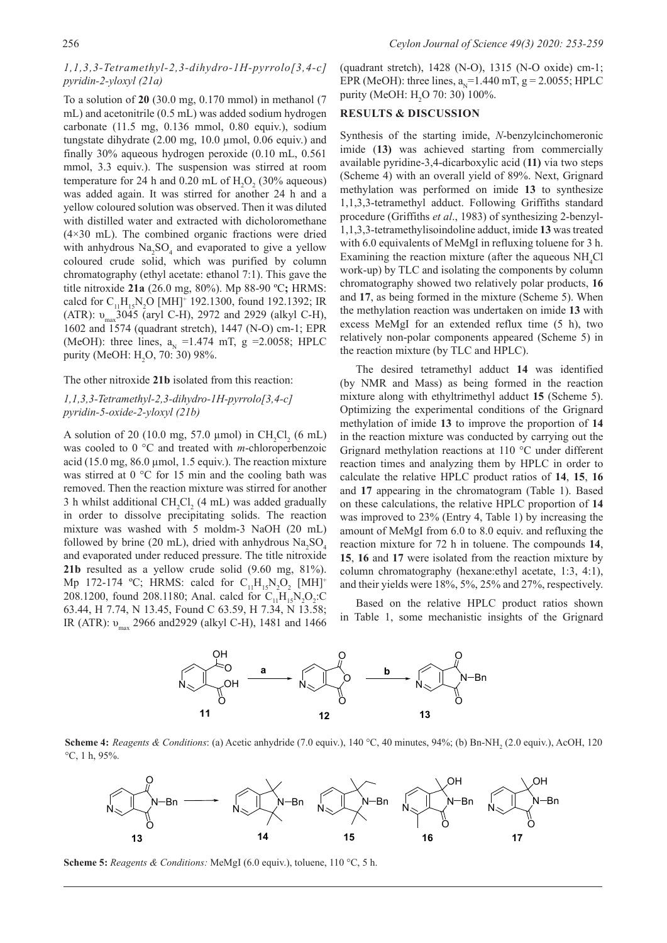## *1,1,3,3-Tetramethyl-2,3-dihydro-1H-pyrrolo[3,4-c] pyridin-2-yloxyl (21a)*

To a solution of **20** (30.0 mg, 0.170 mmol) in methanol (7 mL) and acetonitrile (0.5 mL) was added sodium hydrogen carbonate (11.5 mg, 0.136 mmol, 0.80 equiv.), sodium tungstate dihydrate (2.00 mg, 10.0 µmol, 0.06 equiv.) and finally 30% aqueous hydrogen peroxide (0.10 mL, 0.561 mmol, 3.3 equiv.). The suspension was stirred at room temperature for 24 h and  $0.20$  mL of  $H_2O_2$  (30% aqueous) was added again. It was stirred for another 24 h and a yellow coloured solution was observed. Then it was diluted with distilled water and extracted with dicholoromethane (4×30 mL). The combined organic fractions were dried with anhydrous  $\text{Na}_2\text{SO}_4$  and evaporated to give a yellow coloured crude solid, which was purified by column chromatography (ethyl acetate: ethanol 7:1). This gave the title nitroxide **21a** (26.0 mg, 80%). Mp 88-90 ºC**;** HRMS: calcd for  $C_{11}H_{15}N_2O$  [MH]<sup>+</sup> 192.1300, found 192.1392; IR (ATR):  $v_{\text{max}}$ 3045 (aryl C-H), 2972 and 2929 (alkyl C-H), 1602 and 1574 (quadrant stretch), 1447 (N-O) cm-1; EPR (MeOH): three lines,  $a_{N} = 1.474$  mT, g = 2.0058; HPLC purity (MeOH:  $H_2O$ , 70: 30) 98%.

The other nitroxide **21b** isolated from this reaction:

## *1,1,3,3-Tetramethyl-2,3-dihydro-1H-pyrrolo[3,4-c] pyridin-5-oxide-2-yloxyl (21b)*

A solution of 20 (10.0 mg, 57.0  $\mu$ mol) in CH<sub>2</sub>Cl<sub>2</sub> (6 mL) was cooled to 0 °C and treated with *m*-chloroperbenzoic acid (15.0 mg,  $86.0 \mu$ mol, 1.5 equiv.). The reaction mixture was stirred at 0 °C for 15 min and the cooling bath was removed. Then the reaction mixture was stirred for another 3 h whilst additional  $CH_2Cl_2$  (4 mL) was added gradually in order to dissolve precipitating solids. The reaction mixture was washed with 5 moldm-3 NaOH (20 mL) followed by brine (20 mL), dried with anhydrous  $\text{Na}_2\text{SO}_4$ and evaporated under reduced pressure. The title nitroxide **21b** resulted as a yellow crude solid (9.60 mg, 81%). Mp 172-174 °C; HRMS: calcd for  $C_{11}H_{15}N_2O_2$  [MH]<sup>+</sup> 208.1200, found 208.1180; Anal. calcd for  $C_{11}H_{15}N_2O_2$ :C 63.44, H 7.74, N 13.45, Found C 63.59, H 7.34, N 13.58; IR (ATR): υmax 2966 and2929 (alkyl C-H), 1481 and 1466

(quadrant stretch), 1428 (N-O), 1315 (N-O oxide) cm-1; EPR (MeOH): three lines,  $a_x=1.440$  mT,  $g = 2.0055$ ; HPLC purity (MeOH:  $H_2O$  70: 30) 100%.

### **RESULTS & DISCUSSION**

Synthesis of the starting imide, *N*-benzylcinchomeronic imide (**13)** was achieved starting from commercially available pyridine-3,4-dicarboxylic acid (**11)** via two steps (Scheme 4) with an overall yield of 89%. Next, Grignard methylation was performed on imide **13** to synthesize 1,1,3,3-tetramethyl adduct. Following Griffiths standard procedure (Griffiths *et al*., 1983) of synthesizing 2-benzyl-1,1,3,3-tetramethylisoindoline adduct, imide **13** was treated with 6.0 equivalents of MeMgI in refluxing toluene for 3 h. Examining the reaction mixture (after the aqueous  $NH<sub>4</sub>Cl$ work-up) by TLC and isolating the components by column chromatography showed two relatively polar products, **16** and **17**, as being formed in the mixture (Scheme 5). When the methylation reaction was undertaken on imide **13** with excess MeMgI for an extended reflux time (5 h), two relatively non-polar components appeared (Scheme 5) in the reaction mixture (by TLC and HPLC).

The desired tetramethyl adduct **14** was identified (by NMR and Mass) as being formed in the reaction mixture along with ethyltrimethyl adduct **15** (Scheme 5). Optimizing the experimental conditions of the Grignard methylation of imide **13** to improve the proportion of **14** in the reaction mixture was conducted by carrying out the Grignard methylation reactions at 110 °C under different reaction times and analyzing them by HPLC in order to calculate the relative HPLC product ratios of **14**, **15**, **16** and **17** appearing in the chromatogram (Table 1). Based on these calculations, the relative HPLC proportion of **14** was improved to 23% (Entry 4, Table 1) by increasing the amount of MeMgI from 6.0 to 8.0 equiv. and refluxing the reaction mixture for 72 h in toluene. The compounds **14**, **15**, **16** and **17** were isolated from the reaction mixture by column chromatography (hexane:ethyl acetate, 1:3, 4:1), and their yields were 18%, 5%, 25% and 27%, respectively.

Based on the relative HPLC product ratios shown in Table 1, some mechanistic insights of the Grignard



**Scheme 4:** *Reagents & Conditions*: (a) Acetic anhydride (7.0 equiv.), 140 °C, 40 minutes, 94%; (b) Bn-NH<sub>2</sub> (2.0 equiv.), AcOH, 120 °C, 1 h, 95%.



**Scheme 5:** *Reagents & Conditions:* MeMgI (6.0 equiv.), toluene, 110 °C, 5 h.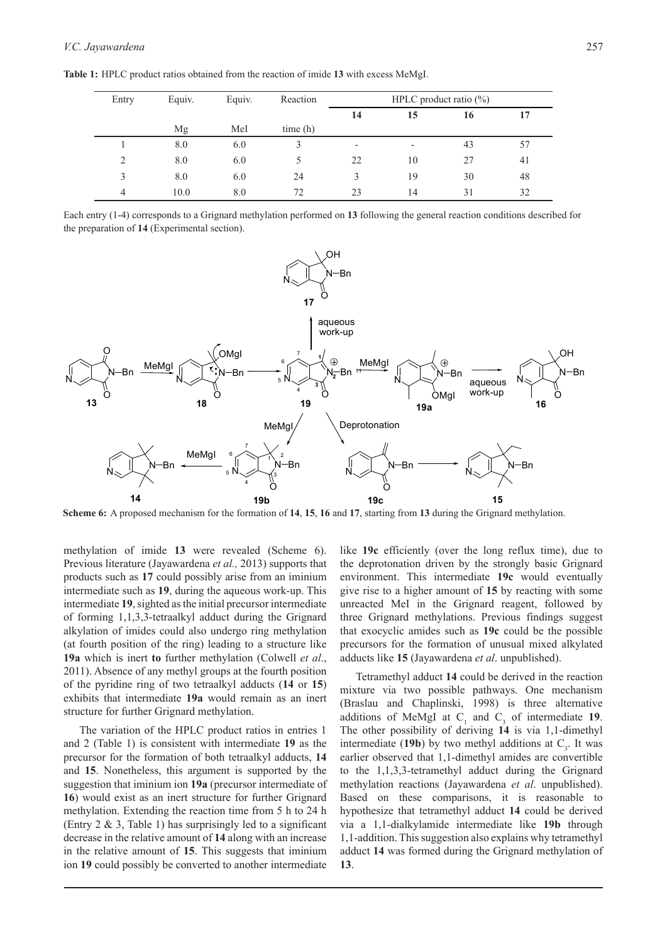| Entry         | Equiv. | Equiv. | Reaction | HPLC product ratio $(\%)$ |                          |    |    |
|---------------|--------|--------|----------|---------------------------|--------------------------|----|----|
|               |        |        |          | 14                        | 15                       | 16 |    |
|               | Mg     | MeI    | time(h)  |                           |                          |    |    |
|               | 8.0    | 6.0    | 3        | $\overline{\phantom{0}}$  | $\overline{\phantom{a}}$ | 43 | 57 |
| $\mathcal{L}$ | 8.0    | 6.0    |          | 22                        | 10                       | 27 | 41 |
| 3             | 8.0    | 6.0    | 24       |                           | 19                       | 30 | 48 |
| 4             | 10.0   | 8.0    | 72       | 23                        | 14                       | 31 | 32 |

**Table 1:** HPLC product ratios obtained from the reaction of imide **13** with excess MeMgI.

Each entry (1-4) corresponds to a Grignard methylation performed on **13** following the general reaction conditions described for the preparation of **14** (Experimental section).



**Scheme 6:** A proposed mechanism for the formation of **14**, **15**, **16** and **17**, starting from **13** during the Grignard methylation.

methylation of imide **13** were revealed (Scheme 6). Previous literature (Jayawardena *et al.,* 2013) supports that products such as **17** could possibly arise from an iminium intermediate such as **19**, during the aqueous work-up. This intermediate **19**, sighted as the initial precursor intermediate of forming 1,1,3,3-tetraalkyl adduct during the Grignard alkylation of imides could also undergo ring methylation (at fourth position of the ring) leading to a structure like **19a** which is inert **to** further methylation (Colwell *et al*., 2011). Absence of any methyl groups at the fourth position of the pyridine ring of two tetraalkyl adducts (**14** or **15**) exhibits that intermediate **19a** would remain as an inert structure for further Grignard methylation.

The variation of the HPLC product ratios in entries 1 and 2 (Table 1) is consistent with intermediate **19** as the precursor for the formation of both tetraalkyl adducts, **14** and **15**. Nonetheless, this argument is supported by the suggestion that iminium ion **19a** (precursor intermediate of **16**) would exist as an inert structure for further Grignard methylation. Extending the reaction time from 5 h to 24 h (Entry 2 & 3, Table 1) has surprisingly led to a significant decrease in the relative amount of **14** along with an increase in the relative amount of **15**. This suggests that iminium ion **19** could possibly be converted to another intermediate

like **19c** efficiently (over the long reflux time), due to the deprotonation driven by the strongly basic Grignard environment. This intermediate **19c** would eventually give rise to a higher amount of **15** by reacting with some unreacted MeI in the Grignard reagent, followed by three Grignard methylations. Previous findings suggest that exocyclic amides such as **19c** could be the possible precursors for the formation of unusual mixed alkylated adducts like **15** (Jayawardena *et al*. unpublished).

Tetramethyl adduct **14** could be derived in the reaction mixture via two possible pathways. One mechanism (Braslau and Chaplinski, 1998) is three alternative additions of MeMgI at  $C_1$  and  $C_3$  of intermediate **19**. The other possibility of deriving **14** is via 1,1-dimethyl intermediate (19b) by two methyl additions at  $C_3$ . It was earlier observed that 1,1-dimethyl amides are convertible to the 1,1,3,3-tetramethyl adduct during the Grignard methylation reactions (Jayawardena *et al*. unpublished). Based on these comparisons, it is reasonable to hypothesize that tetramethyl adduct **14** could be derived via a 1,1-dialkylamide intermediate like **19b** through 1,1-addition. This suggestion also explains why tetramethyl adduct **14** was formed during the Grignard methylation of **13**.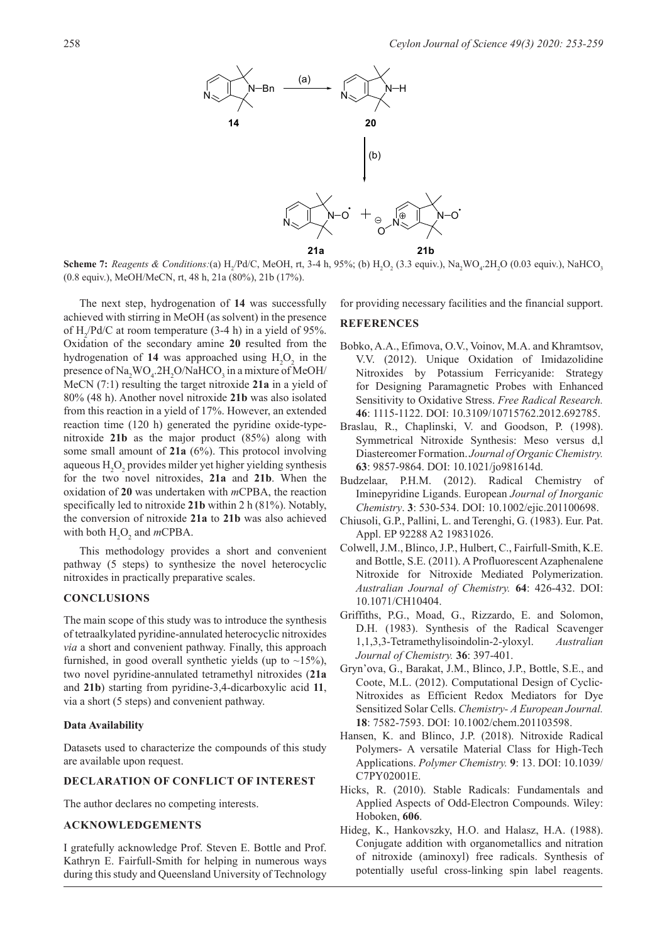

**Scheme 7:** Reagents & Conditions:(a)  $H_2$ /Pd/C, MeOH, rt, 3-4 h, 95%; (b)  $H_2O_2$  (3.3 equiv.), Na<sub>2</sub>WO<sub>4</sub>.2H<sub>2</sub>O (0.03 equiv.), NaHCO<sub>3</sub> (0.8 equiv.), MeOH/MeCN, rt, 48 h, 21a (80%), 21b (17%).

The next step, hydrogenation of **14** was successfully achieved with stirring in MeOH (as solvent) in the presence of  $H_2$ /Pd/C at room temperature (3-4 h) in a yield of 95%. Oxidation of the secondary amine **20** resulted from the hydrogenation of 14 was approached using  $H_2O_2$  in the presence of  $\text{Na}_2\text{WO}_4$ .2H<sub>2</sub>O/NaHCO<sub>3</sub> in a mixture of MeOH/ MeCN (7:1) resulting the target nitroxide **21a** in a yield of 80% (48 h). Another novel nitroxide **21b** was also isolated from this reaction in a yield of 17%. However, an extended reaction time (120 h) generated the pyridine oxide-typenitroxide **21b** as the major product (85%) along with some small amount of **21a** (6%). This protocol involving aqueous  $H_2O_2$  provides milder yet higher yielding synthesis for the two novel nitroxides, **21a** and **21b**. When the oxidation of **20** was undertaken with *m*CPBA, the reaction specifically led to nitroxide **21b** within 2 h (81%). Notably, the conversion of nitroxide **21a** to **21b** was also achieved with both  $H_2O_2$  and *m*CPBA.

This methodology provides a short and convenient pathway (5 steps) to synthesize the novel heterocyclic nitroxides in practically preparative scales.

### **CONCLUSIONS**

The main scope of this study was to introduce the synthesis of tetraalkylated pyridine-annulated heterocyclic nitroxides *via* a short and convenient pathway. Finally, this approach furnished, in good overall synthetic yields (up to  $\sim$ 15%), two novel pyridine-annulated tetramethyl nitroxides (**21a** and **21b**) starting from pyridine-3,4-dicarboxylic acid **11**, via a short (5 steps) and convenient pathway.

#### **Data Availability**

Datasets used to characterize the compounds of this study are available upon request.

## **DECLARATION OF CONFLICT OF INTEREST**

The author declares no competing interests.

## **ACKNOWLEDGEMENTS**

I gratefully acknowledge Prof. Steven E. Bottle and Prof. Kathryn E. Fairfull-Smith for helping in numerous ways during this study and Queensland University of Technology for providing necessary facilities and the financial support.

### **REFERENCES**

- Bobko, A.A., Efimova, O.V., Voinov, M.A. and Khramtsov, V.V. (2012). Unique Oxidation of Imidazolidine Nitroxides by Potassium Ferricyanide: Strategy for Designing Paramagnetic Probes with Enhanced Sensitivity to Oxidative Stress. *Free Radical Research.* **46**: 1115-1122. DOI: 10.3109/10715762.2012.692785.
- Braslau, R., Chaplinski, V. and Goodson, P. (1998). Symmetrical Nitroxide Synthesis: Meso versus d,l Diastereomer Formation. *Journal of Organic Chemistry.* **63**: 9857-9864. DOI: 10.1021/jo981614d.
- Budzelaar, P.H.M. (2012). Radical Chemistry of Iminepyridine Ligands. European *Journal of Inorganic Chemistry*. **3**: 530-534. DOI: 10.1002/ejic.201100698.
- Chiusoli, G.P., Pallini, L. and Terenghi, G. (1983). Eur. Pat. Appl. EP 92288 A2 19831026.
- Colwell, J.M., Blinco, J.P., Hulbert, C., Fairfull-Smith, K.E. and Bottle, S.E. (2011). A Profluorescent Azaphenalene Nitroxide for Nitroxide Mediated Polymerization. *Australian Journal of Chemistry.* **64**: 426-432. DOI: 10.1071/CH10404.
- Griffiths, P.G., Moad, G., Rizzardo, E. and Solomon, D.H. (1983). Synthesis of the Radical Scavenger 1,1,3,3-Tetramethylisoindolin-2-yloxyl. *Australian Journal of Chemistry.* **36**: 397-401.
- Gryn'ova, G., Barakat, J.M., Blinco, J.P., Bottle, S.E., and Coote, M.L. (2012). Computational Design of Cyclic‐ Nitroxides as Efficient Redox Mediators for Dye Sensitized Solar Cells. *Chemistry- A European Journal.* **18**: 7582-7593. DOI: 10.1002/chem.201103598.
- Hansen, K. and Blinco, J.P. (2018). Nitroxide Radical Polymers- A versatile Material Class for High-Tech Applications. *Polymer Chemistry.* **9**: 13. DOI: 10.1039/ C7PY02001E.
- Hicks, R. (2010). Stable Radicals: Fundamentals and Applied Aspects of Odd-Electron Compounds. Wiley: Hoboken, **606**.
- Hideg, K., Hankovszky, H.O. and Halasz, H.A. (1988). Conjugate addition with organometallics and nitration of nitroxide (aminoxyl) free radicals. Synthesis of potentially useful cross-linking spin label reagents.